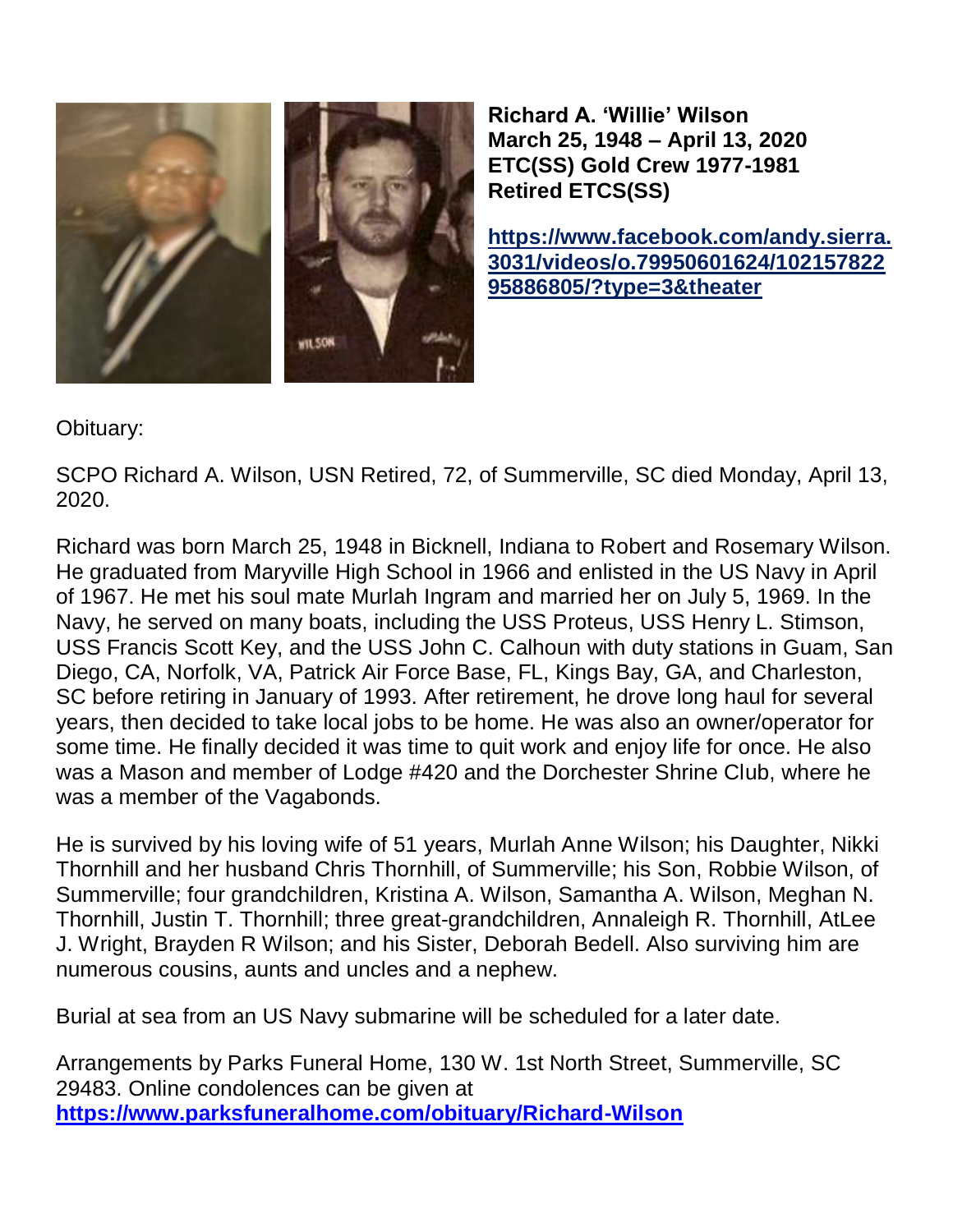

**Richard A. 'Willie' Wilson March 25, 1948 – April 13, 2020 ETC(SS) Gold Crew 1977-1981 Retired ETCS(SS)**

**[https://www.facebook.com/andy.sierra.](https://www.facebook.com/andy.sierra.3031/videos/o.79950601624/10215782295886805/?type=3&theater) [3031/videos/o.79950601624/102157822](https://www.facebook.com/andy.sierra.3031/videos/o.79950601624/10215782295886805/?type=3&theater) [95886805/?type=3&theater](https://www.facebook.com/andy.sierra.3031/videos/o.79950601624/10215782295886805/?type=3&theater)**

Obituary:

SCPO Richard A. Wilson, USN Retired, 72, of Summerville, SC died Monday, April 13, 2020.

Richard was born March 25, 1948 in Bicknell, Indiana to Robert and Rosemary Wilson. He graduated from Maryville High School in 1966 and enlisted in the US Navy in April of 1967. He met his soul mate Murlah Ingram and married her on July 5, 1969. In the Navy, he served on many boats, including the USS Proteus, USS Henry L. Stimson, USS Francis Scott Key, and the USS John C. Calhoun with duty stations in Guam, San Diego, CA, Norfolk, VA, Patrick Air Force Base, FL, Kings Bay, GA, and Charleston, SC before retiring in January of 1993. After retirement, he drove long haul for several years, then decided to take local jobs to be home. He was also an owner/operator for some time. He finally decided it was time to quit work and enjoy life for once. He also was a Mason and member of Lodge #420 and the Dorchester Shrine Club, where he was a member of the Vagabonds.

He is survived by his loving wife of 51 years, Murlah Anne Wilson; his Daughter, Nikki Thornhill and her husband Chris Thornhill, of Summerville; his Son, Robbie Wilson, of Summerville; four grandchildren, Kristina A. Wilson, Samantha A. Wilson, Meghan N. Thornhill, Justin T. Thornhill; three great-grandchildren, Annaleigh R. Thornhill, AtLee J. Wright, Brayden R Wilson; and his Sister, Deborah Bedell. Also surviving him are numerous cousins, aunts and uncles and a nephew.

Burial at sea from an US Navy submarine will be scheduled for a later date.

Arrangements by Parks Funeral Home, 130 W. 1st North Street, Summerville, SC 29483. Online condolences can be given at **<https://www.parksfuneralhome.com/obituary/Richard-Wilson>**